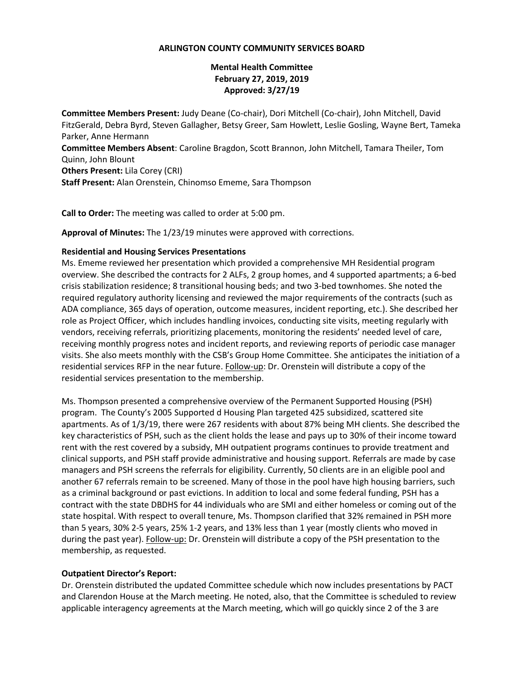### **ARLINGTON COUNTY COMMUNITY SERVICES BOARD**

# **Mental Health Committee February 27, 2019, 2019 Approved: 3/27/19**

**Committee Members Present:** Judy Deane (Co-chair), Dori Mitchell (Co-chair), John Mitchell, David FitzGerald, Debra Byrd, Steven Gallagher, Betsy Greer, Sam Howlett, Leslie Gosling, Wayne Bert, Tameka Parker, Anne Hermann **Committee Members Absent**: Caroline Bragdon, Scott Brannon, John Mitchell, Tamara Theiler, Tom Quinn, John Blount **Others Present:** Lila Corey (CRI)

**Staff Present:** Alan Orenstein, Chinomso Ememe, Sara Thompson

**Call to Order:** The meeting was called to order at 5:00 pm.

**Approval of Minutes:** The 1/23/19 minutes were approved with corrections.

### **Residential and Housing Services Presentations**

Ms. Ememe reviewed her presentation which provided a comprehensive MH Residential program overview. She described the contracts for 2 ALFs, 2 group homes, and 4 supported apartments; a 6-bed crisis stabilization residence; 8 transitional housing beds; and two 3-bed townhomes. She noted the required regulatory authority licensing and reviewed the major requirements of the contracts (such as ADA compliance, 365 days of operation, outcome measures, incident reporting, etc.). She described her role as Project Officer, which includes handling invoices, conducting site visits, meeting regularly with vendors, receiving referrals, prioritizing placements, monitoring the residents' needed level of care, receiving monthly progress notes and incident reports, and reviewing reports of periodic case manager visits. She also meets monthly with the CSB's Group Home Committee. She anticipates the initiation of a residential services RFP in the near future. Follow-up: Dr. Orenstein will distribute a copy of the residential services presentation to the membership.

Ms. Thompson presented a comprehensive overview of the Permanent Supported Housing (PSH) program. The County's 2005 Supported d Housing Plan targeted 425 subsidized, scattered site apartments. As of 1/3/19, there were 267 residents with about 87% being MH clients. She described the key characteristics of PSH, such as the client holds the lease and pays up to 30% of their income toward rent with the rest covered by a subsidy, MH outpatient programs continues to provide treatment and clinical supports, and PSH staff provide administrative and housing support. Referrals are made by case managers and PSH screens the referrals for eligibility. Currently, 50 clients are in an eligible pool and another 67 referrals remain to be screened. Many of those in the pool have high housing barriers, such as a criminal background or past evictions. In addition to local and some federal funding, PSH has a contract with the state DBDHS for 44 individuals who are SMI and either homeless or coming out of the state hospital. With respect to overall tenure, Ms. Thompson clarified that 32% remained in PSH more than 5 years, 30% 2-5 years, 25% 1-2 years, and 13% less than 1 year (mostly clients who moved in during the past year). Follow-up: Dr. Orenstein will distribute a copy of the PSH presentation to the membership, as requested.

#### **Outpatient Director's Report:**

Dr. Orenstein distributed the updated Committee schedule which now includes presentations by PACT and Clarendon House at the March meeting. He noted, also, that the Committee is scheduled to review applicable interagency agreements at the March meeting, which will go quickly since 2 of the 3 are